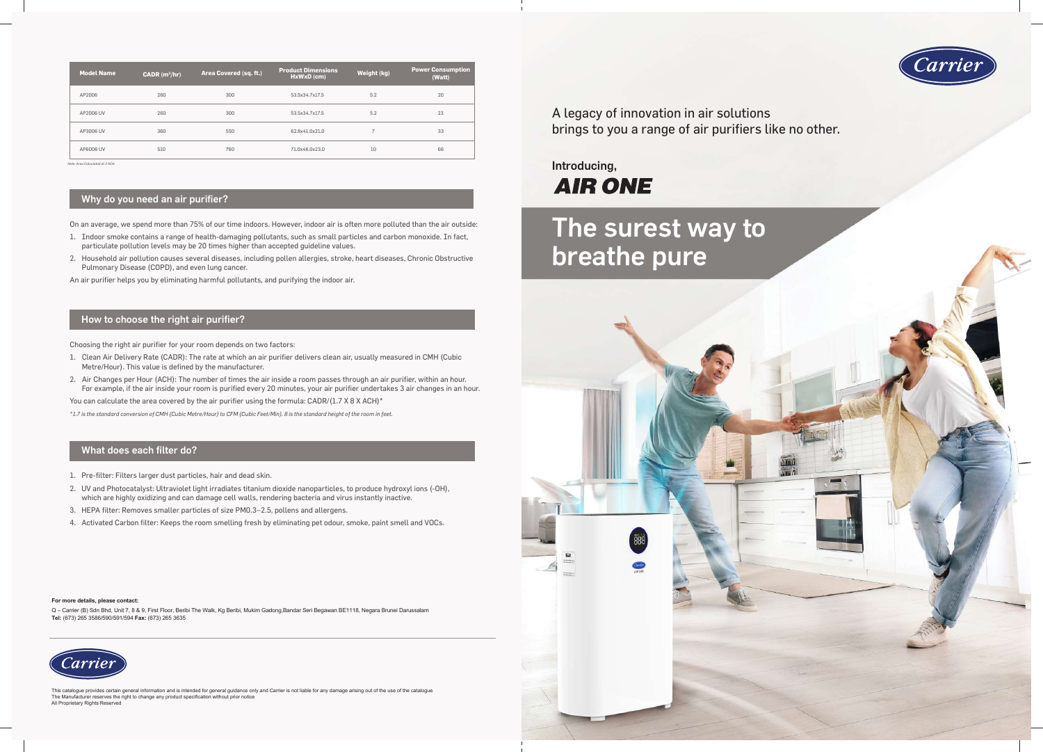On an average, we spend more than 75% of our time indoors. However, indoor air is often more polluted than the air outside:

- 1. Indoor smoke contains a range of health-damaging pollutants, such as small particles and carbon monoxide. In fact, particulate pollution levels may be 20 times higher than accepted guideline values.
- 2. Household air pollution causes several diseases, including pollen allergies, stroke, heart diseases, Chronic Obstructive Pulmonary Disease (COPD), and even lung cancer.

An air purifier helps you by eliminating harmful pollutants, and purifying the indoor air.

#### Why do you need an air purifier?

Choosing the right air purifier for your room depends on two factors:

- 1. Clean Air Delivery Rate (CADR): The rate at which an air purifier delivers clean air, usually measured in CMH (Cubic Metre/Hour). This value is defined by the manufacturer.
- 2. Air Changes per Hour (ACH): The number of times the air inside a room passes through an air purifier, within an hour. For example, if the air inside your room is purified every 20 minutes, your air purifier undertakes 3 air changes in an hour.

You can calculate the area covered by the air purifier using the formula:  $CADR/(1.7 \times 8 \times ACH)^*$ 

# Introducing, **AIR ONE**

*\*1.7 is the standard conversion of CMH (Cubic Metre/Hour) to CFM (Cubic Feet/Min). 8 is the standard height of the room in feet.*

#### How to choose the right air purifier?

- 1. Pre-filter: Filters larger dust particles, hair and dead skin.
- 2. UV and Photocatalyst: Ultraviolet light irradiates titanium dioxide nanoparticles, to produce hydroxyl ions (-OH), which are highly oxidizing and can damage cell walls, rendering bacteria and virus instantly inactive.
- 3. HEPA filter: Removes smaller particles of size PM0.3–2.5, pollens and allergens.
- 4. Activated Carbon filter: Keeps the room smelling fresh by eliminating pet odour, smoke, paint smell and VOCs.

#### What does each filter do?

A legacy of innovation in air solutions brings to you a range of air purifiers like no other.





| <b>Model Name</b> | CADR $(m^3/hr)$ | Area Covered (sq. ft.) | <b>Product Dimensions</b><br>HxWxD (cm) | Weight (kg)   | <b>Power Consumption</b><br>(Watt) |
|-------------------|-----------------|------------------------|-----------------------------------------|---------------|------------------------------------|
| AP2006            | 260             | 300                    | 53.5x34.7x17.5                          | 5.2           | 20                                 |
| AP2006 UV         | 260             | 300                    | 53.5x34.7x17.5                          | 5.2           | 23                                 |
| AP3006 UV         | 360             | 550                    | 62.8x41.0x21.0                          | $\rightarrow$ | 33                                 |
| AP6006 UV         | 510             | 760                    | 71.0x46.0x23.0                          | 10            | 66                                 |

*Note: Area Calculated at 3 ACH.*

#### **For more details, please contact:**

Q – Carrier (B) Sdn Bhd, Unit 7, 8 & 9, First Floor, Beribi The Walk, Kg Beribi, Mukim Gadong,Bandar Seri Begawan BE1118, Negara Brunei Darussalam **Tel:** (673) 265 3586/590/591/594 **Fax:** (673) 265 3635



This catalogue provides certain general information and is intended for general guidance only and Carrier is not liable for any damage arising out of the use of the catalogue<br>The Manufacturer reserves the right to change a